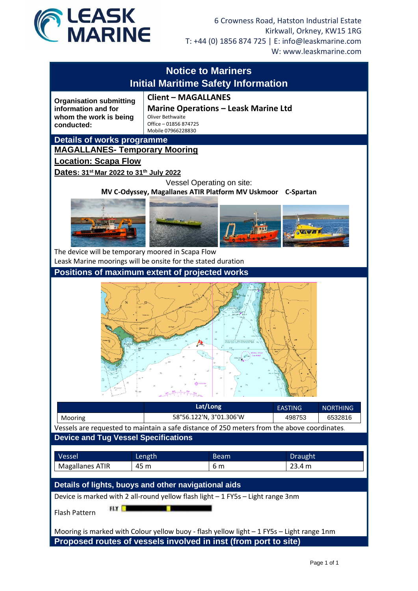